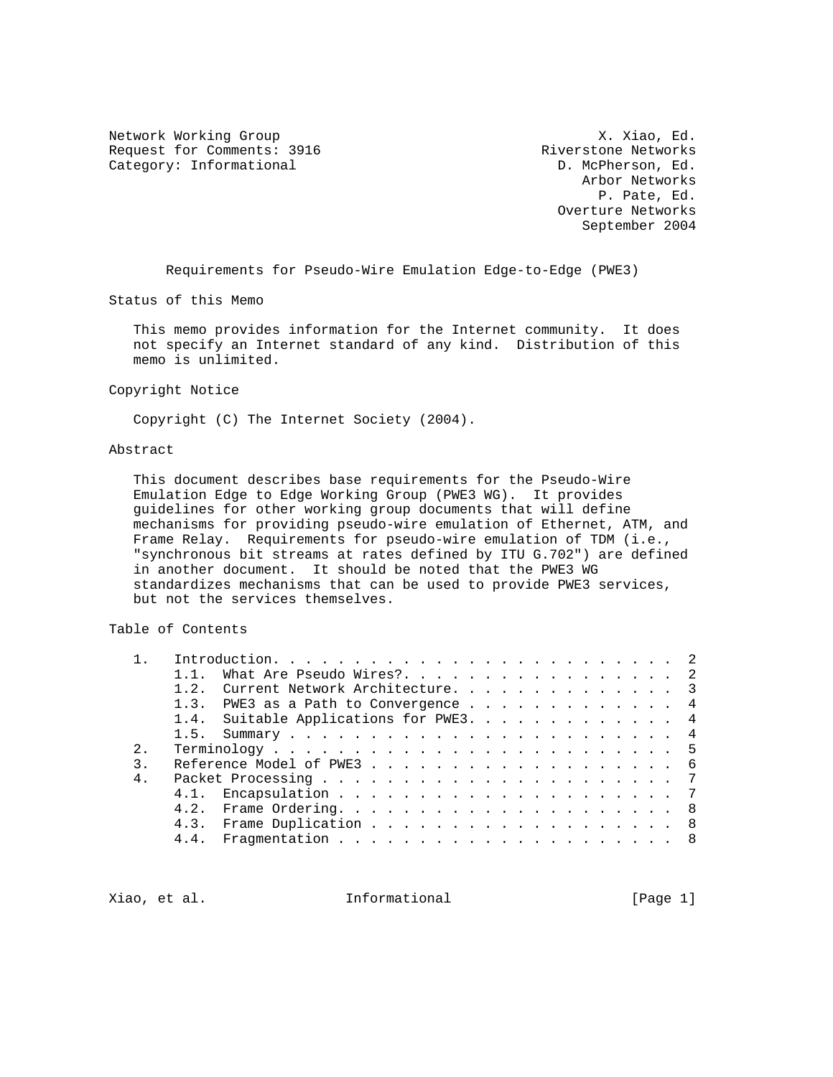Network Working Group 3. November 2012 1999 Network Working Group Request for Comments: 3916 Riverstone Networks<br>
Category: Informational (D. McPherson, Ed. Category: Informational

 Arbor Networks P. Pate, Ed. Overture Networks September 2004

Requirements for Pseudo-Wire Emulation Edge-to-Edge (PWE3)

Status of this Memo

 This memo provides information for the Internet community. It does not specify an Internet standard of any kind. Distribution of this memo is unlimited.

Copyright Notice

Copyright (C) The Internet Society (2004).

## Abstract

 This document describes base requirements for the Pseudo-Wire Emulation Edge to Edge Working Group (PWE3 WG). It provides guidelines for other working group documents that will define mechanisms for providing pseudo-wire emulation of Ethernet, ATM, and Frame Relay. Requirements for pseudo-wire emulation of TDM (i.e., "synchronous bit streams at rates defined by ITU G.702") are defined in another document. It should be noted that the PWE3 WG standardizes mechanisms that can be used to provide PWE3 services, but not the services themselves.

Table of Contents

|  |             |           | What Are Pseudo Wires?. 2              |  |  |  |  |  |  |  |  |  |  |
|--|-------------|-----------|----------------------------------------|--|--|--|--|--|--|--|--|--|--|
|  |             | $1\quad2$ | Current Network Architecture. 3        |  |  |  |  |  |  |  |  |  |  |
|  |             | 1.3.      | PWE3 as a Path to Convergence 4        |  |  |  |  |  |  |  |  |  |  |
|  |             |           | 1.4. Suitable Applications for PWE3. 4 |  |  |  |  |  |  |  |  |  |  |
|  |             |           |                                        |  |  |  |  |  |  |  |  |  |  |
|  | $2^{\circ}$ |           |                                        |  |  |  |  |  |  |  |  |  |  |
|  |             |           |                                        |  |  |  |  |  |  |  |  |  |  |
|  | $4$ .       |           |                                        |  |  |  |  |  |  |  |  |  |  |
|  |             |           |                                        |  |  |  |  |  |  |  |  |  |  |
|  |             |           |                                        |  |  |  |  |  |  |  |  |  |  |
|  |             |           | 4.3. Frame Duplication 8               |  |  |  |  |  |  |  |  |  |  |
|  |             | 4.4.      |                                        |  |  |  |  |  |  |  |  |  |  |
|  |             |           |                                        |  |  |  |  |  |  |  |  |  |  |

Xiao, et al. Informational [Page 1]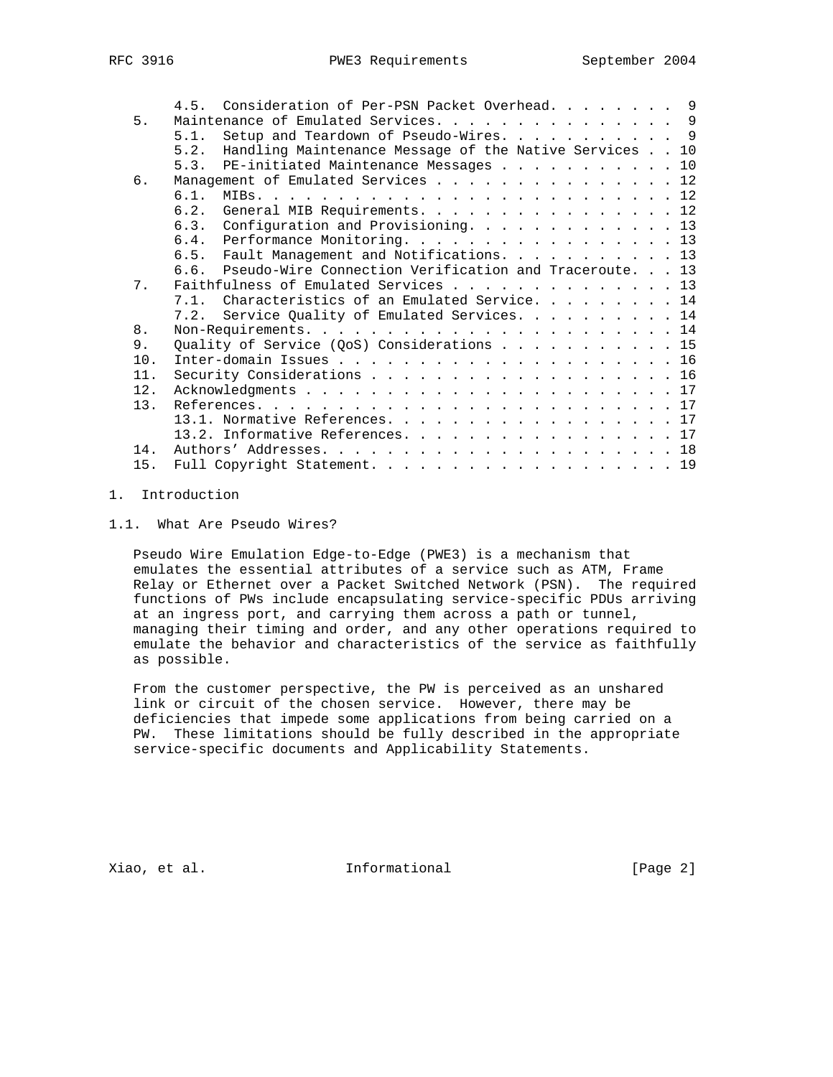|     |      | 4.5. Consideration of Per-PSN Packet Overhead. 9            |  |
|-----|------|-------------------------------------------------------------|--|
| 5.  |      | Maintenance of Emulated Services. 9                         |  |
|     | 5.1. | Setup and Teardown of Pseudo-Wires. 9                       |  |
|     | 5.2. | Handling Maintenance Message of the Native Services 10      |  |
|     |      | 5.3. PE-initiated Maintenance Messages 10                   |  |
| 6.  |      | Management of Emulated Services 12                          |  |
|     | 61   |                                                             |  |
|     | 6.2. | General MIB Requirements. 12                                |  |
|     |      | 6.3. Configuration and Provisioning. 13                     |  |
|     |      | 6.4. Performance Monitoring. 13                             |  |
|     |      | 6.5. Fault Management and Notifications13                   |  |
|     |      | 6.6. Pseudo-Wire Connection Verification and Traceroute. 13 |  |
| 7.  |      | Faithfulness of Emulated Services 13                        |  |
|     |      | 7.1. Characteristics of an Emulated Service. 14             |  |
|     |      | 7.2. Service Quality of Emulated Services. 14               |  |
| 8.  |      |                                                             |  |
| 9.  |      | Quality of Service (QoS) Considerations $\ldots$ 15         |  |
| 10. |      |                                                             |  |
| 11. |      | Security Considerations 16                                  |  |
| 12. |      |                                                             |  |
| 13. |      |                                                             |  |
|     |      | 13.1. Normative References. 17                              |  |
|     |      | 13.2. Informative References. 17                            |  |
| 14. |      |                                                             |  |
| 15. |      | Full Copyright Statement. 19                                |  |
|     |      |                                                             |  |

# 1. Introduction

1.1. What Are Pseudo Wires?

 Pseudo Wire Emulation Edge-to-Edge (PWE3) is a mechanism that emulates the essential attributes of a service such as ATM, Frame Relay or Ethernet over a Packet Switched Network (PSN). The required functions of PWs include encapsulating service-specific PDUs arriving at an ingress port, and carrying them across a path or tunnel, managing their timing and order, and any other operations required to emulate the behavior and characteristics of the service as faithfully as possible.

 From the customer perspective, the PW is perceived as an unshared link or circuit of the chosen service. However, there may be deficiencies that impede some applications from being carried on a PW. These limitations should be fully described in the appropriate service-specific documents and Applicability Statements.

Xiao, et al. 10 mm informational 1999 [Page 2]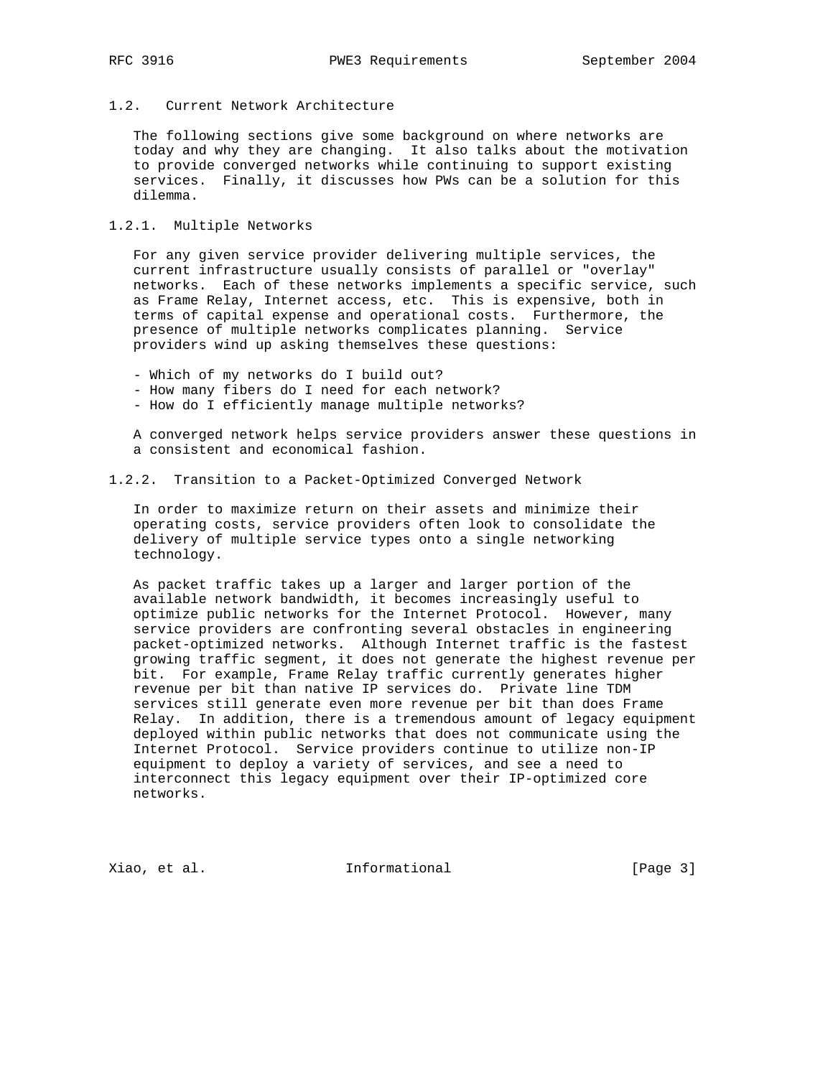# 1.2. Current Network Architecture

 The following sections give some background on where networks are today and why they are changing. It also talks about the motivation to provide converged networks while continuing to support existing services. Finally, it discusses how PWs can be a solution for this dilemma.

## 1.2.1. Multiple Networks

 For any given service provider delivering multiple services, the current infrastructure usually consists of parallel or "overlay" networks. Each of these networks implements a specific service, such as Frame Relay, Internet access, etc. This is expensive, both in terms of capital expense and operational costs. Furthermore, the presence of multiple networks complicates planning. Service providers wind up asking themselves these questions:

- Which of my networks do I build out?
- How many fibers do I need for each network?
- How do I efficiently manage multiple networks?

 A converged network helps service providers answer these questions in a consistent and economical fashion.

## 1.2.2. Transition to a Packet-Optimized Converged Network

 In order to maximize return on their assets and minimize their operating costs, service providers often look to consolidate the delivery of multiple service types onto a single networking technology.

 As packet traffic takes up a larger and larger portion of the available network bandwidth, it becomes increasingly useful to optimize public networks for the Internet Protocol. However, many service providers are confronting several obstacles in engineering packet-optimized networks. Although Internet traffic is the fastest growing traffic segment, it does not generate the highest revenue per bit. For example, Frame Relay traffic currently generates higher revenue per bit than native IP services do. Private line TDM services still generate even more revenue per bit than does Frame Relay. In addition, there is a tremendous amount of legacy equipment deployed within public networks that does not communicate using the Internet Protocol. Service providers continue to utilize non-IP equipment to deploy a variety of services, and see a need to interconnect this legacy equipment over their IP-optimized core networks.

Xiao, et al. 10 mm = Informational 1 mm = [Page 3]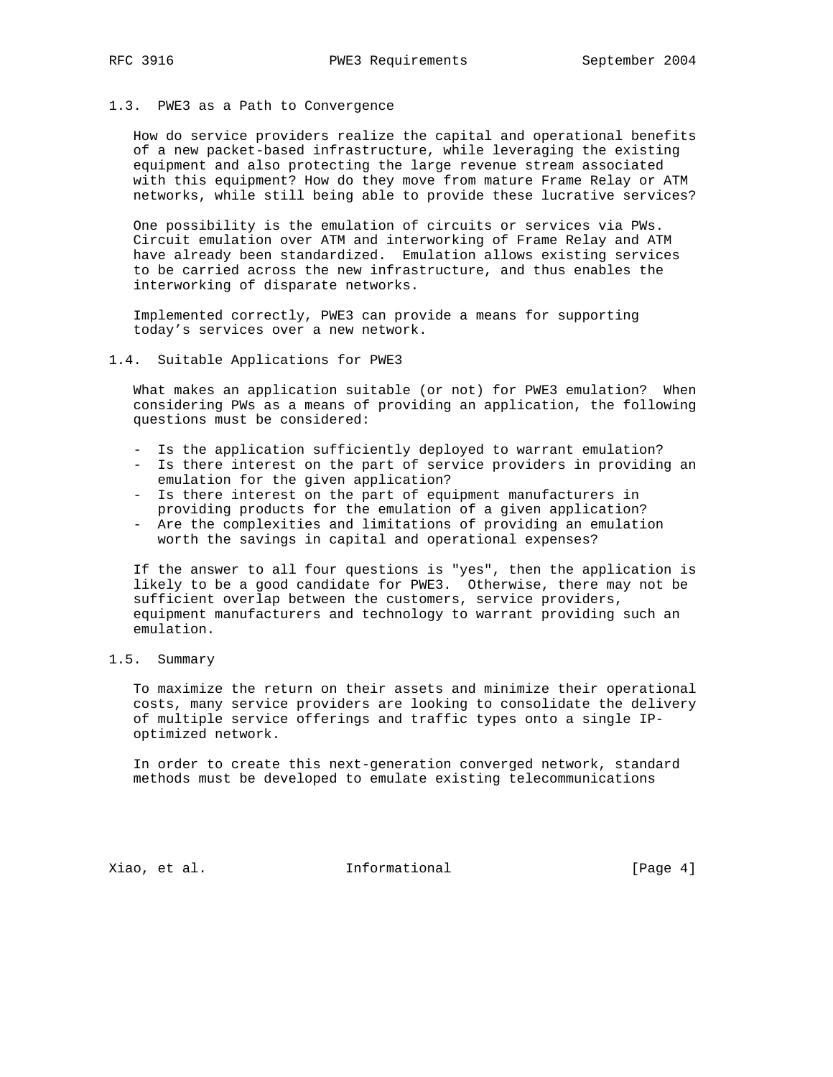## 1.3. PWE3 as a Path to Convergence

 How do service providers realize the capital and operational benefits of a new packet-based infrastructure, while leveraging the existing equipment and also protecting the large revenue stream associated with this equipment? How do they move from mature Frame Relay or ATM networks, while still being able to provide these lucrative services?

 One possibility is the emulation of circuits or services via PWs. Circuit emulation over ATM and interworking of Frame Relay and ATM have already been standardized. Emulation allows existing services to be carried across the new infrastructure, and thus enables the interworking of disparate networks.

 Implemented correctly, PWE3 can provide a means for supporting today's services over a new network.

#### 1.4. Suitable Applications for PWE3

 What makes an application suitable (or not) for PWE3 emulation? When considering PWs as a means of providing an application, the following questions must be considered:

- Is the application sufficiently deployed to warrant emulation?
- Is there interest on the part of service providers in providing an emulation for the given application?
- Is there interest on the part of equipment manufacturers in providing products for the emulation of a given application?
- Are the complexities and limitations of providing an emulation worth the savings in capital and operational expenses?

 If the answer to all four questions is "yes", then the application is likely to be a good candidate for PWE3. Otherwise, there may not be sufficient overlap between the customers, service providers, equipment manufacturers and technology to warrant providing such an emulation.

## 1.5. Summary

 To maximize the return on their assets and minimize their operational costs, many service providers are looking to consolidate the delivery of multiple service offerings and traffic types onto a single IP optimized network.

 In order to create this next-generation converged network, standard methods must be developed to emulate existing telecommunications

Xiao, et al. 10 mm = Informational 1 mm = [Page 4]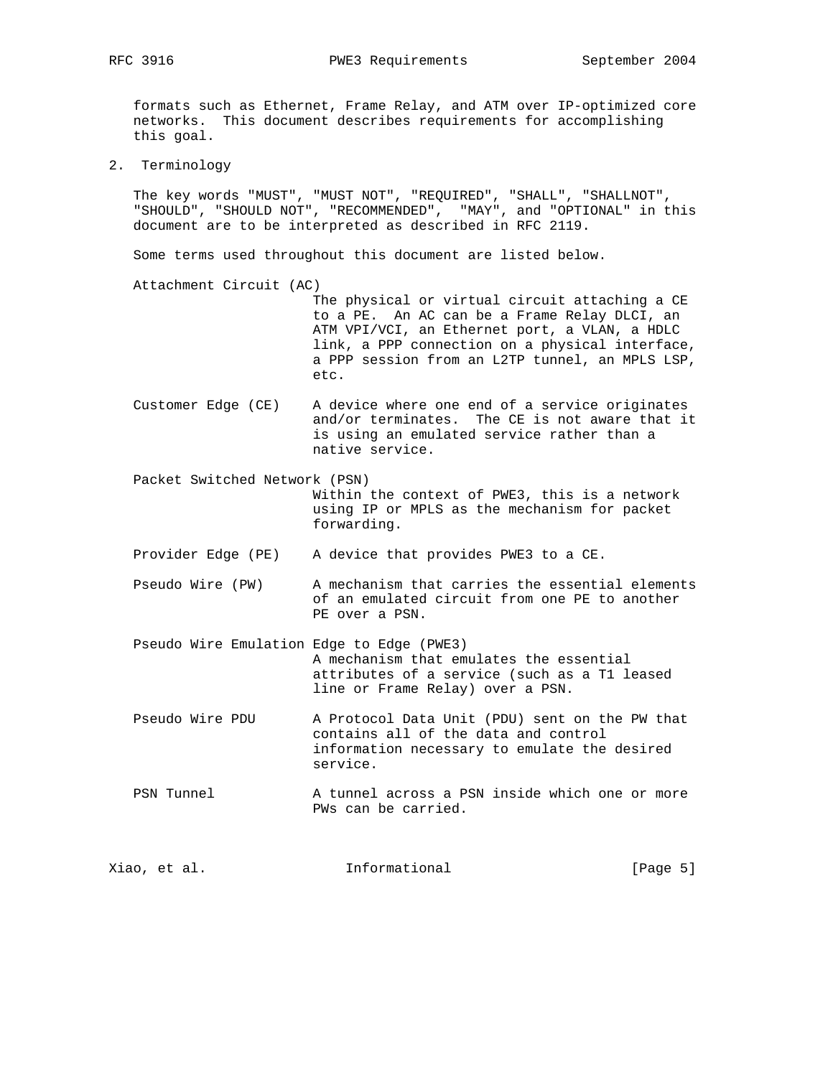RFC 3916 **PWE3 Requirements** September 2004

 formats such as Ethernet, Frame Relay, and ATM over IP-optimized core networks. This document describes requirements for accomplishing this goal.

2. Terminology

 The key words "MUST", "MUST NOT", "REQUIRED", "SHALL", "SHALLNOT", "SHOULD", "SHOULD NOT", "RECOMMENDED", "MAY", and "OPTIONAL" in this document are to be interpreted as described in RFC 2119.

Some terms used throughout this document are listed below.

Attachment Circuit (AC)

 The physical or virtual circuit attaching a CE to a PE. An AC can be a Frame Relay DLCI, an ATM VPI/VCI, an Ethernet port, a VLAN, a HDLC link, a PPP connection on a physical interface, a PPP session from an L2TP tunnel, an MPLS LSP, etc.

 Customer Edge (CE) A device where one end of a service originates and/or terminates. The CE is not aware that it is using an emulated service rather than a native service.

 Packet Switched Network (PSN) Within the context of PWE3, this is a network using IP or MPLS as the mechanism for packet forwarding.

Provider Edge (PE) A device that provides PWE3 to a CE.

 Pseudo Wire (PW) A mechanism that carries the essential elements of an emulated circuit from one PE to another PE over a PSN.

 Pseudo Wire Emulation Edge to Edge (PWE3) A mechanism that emulates the essential attributes of a service (such as a T1 leased line or Frame Relay) over a PSN.

 Pseudo Wire PDU A Protocol Data Unit (PDU) sent on the PW that contains all of the data and control information necessary to emulate the desired service.

PSN Tunnel  $\qquad \qquad$  A tunnel across a PSN inside which one or more PWs can be carried.

Xiao, et al. 100 mm informational 100 mm informational [Page 5]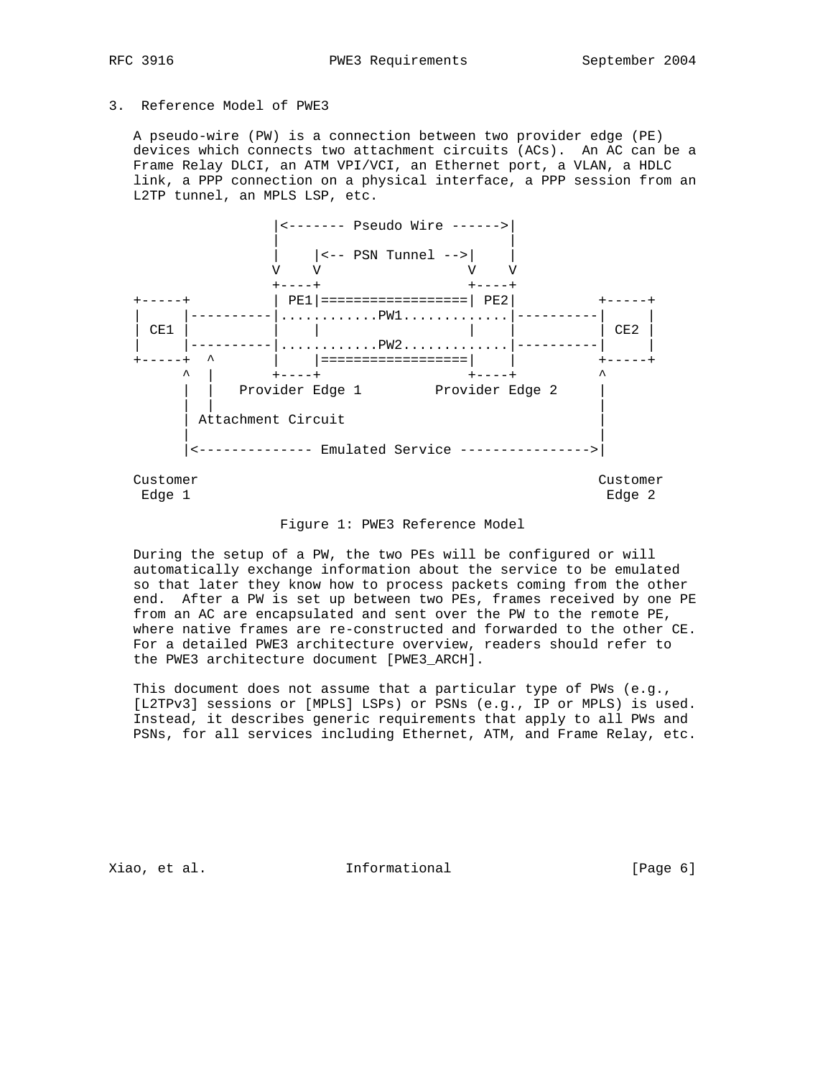## 3. Reference Model of PWE3

 A pseudo-wire (PW) is a connection between two provider edge (PE) devices which connects two attachment circuits (ACs). An AC can be a Frame Relay DLCI, an ATM VPI/VCI, an Ethernet port, a VLAN, a HDLC link, a PPP connection on a physical interface, a PPP session from an L2TP tunnel, an MPLS LSP, etc.



#### Figure 1: PWE3 Reference Model

 During the setup of a PW, the two PEs will be configured or will automatically exchange information about the service to be emulated so that later they know how to process packets coming from the other end. After a PW is set up between two PEs, frames received by one PE from an AC are encapsulated and sent over the PW to the remote PE, where native frames are re-constructed and forwarded to the other CE. For a detailed PWE3 architecture overview, readers should refer to the PWE3 architecture document [PWE3\_ARCH].

 This document does not assume that a particular type of PWs (e.g., [L2TPv3] sessions or [MPLS] LSPs) or PSNs (e.g., IP or MPLS) is used. Instead, it describes generic requirements that apply to all PWs and PSNs, for all services including Ethernet, ATM, and Frame Relay, etc.

Xiao, et al. Informational [Page 6]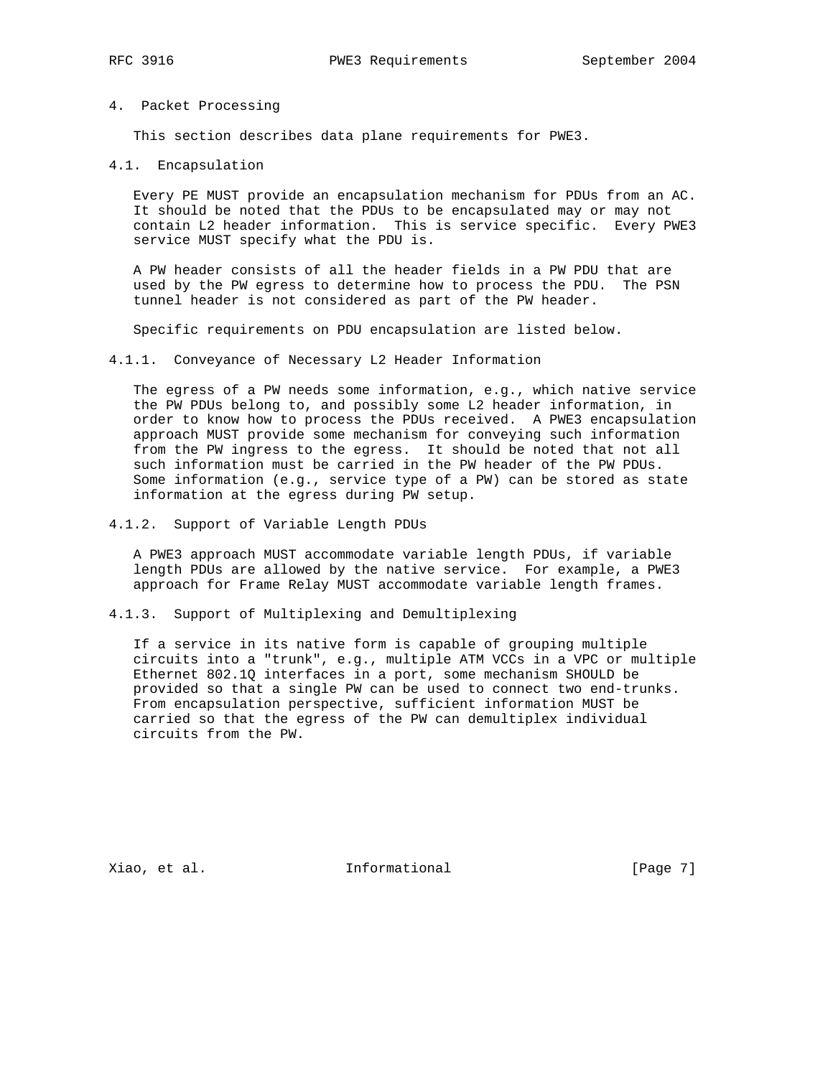#### 4. Packet Processing

This section describes data plane requirements for PWE3.

4.1. Encapsulation

 Every PE MUST provide an encapsulation mechanism for PDUs from an AC. It should be noted that the PDUs to be encapsulated may or may not contain L2 header information. This is service specific. Every PWE3 service MUST specify what the PDU is.

 A PW header consists of all the header fields in a PW PDU that are used by the PW egress to determine how to process the PDU. The PSN tunnel header is not considered as part of the PW header.

Specific requirements on PDU encapsulation are listed below.

#### 4.1.1. Conveyance of Necessary L2 Header Information

 The egress of a PW needs some information, e.g., which native service the PW PDUs belong to, and possibly some L2 header information, in order to know how to process the PDUs received. A PWE3 encapsulation approach MUST provide some mechanism for conveying such information from the PW ingress to the egress. It should be noted that not all such information must be carried in the PW header of the PW PDUs. Some information (e.g., service type of a PW) can be stored as state information at the egress during PW setup.

4.1.2. Support of Variable Length PDUs

 A PWE3 approach MUST accommodate variable length PDUs, if variable length PDUs are allowed by the native service. For example, a PWE3 approach for Frame Relay MUST accommodate variable length frames.

4.1.3. Support of Multiplexing and Demultiplexing

 If a service in its native form is capable of grouping multiple circuits into a "trunk", e.g., multiple ATM VCCs in a VPC or multiple Ethernet 802.1Q interfaces in a port, some mechanism SHOULD be provided so that a single PW can be used to connect two end-trunks. From encapsulation perspective, sufficient information MUST be carried so that the egress of the PW can demultiplex individual circuits from the PW.

Xiao, et al. 100 mm informational 100 mm informational [Page 7]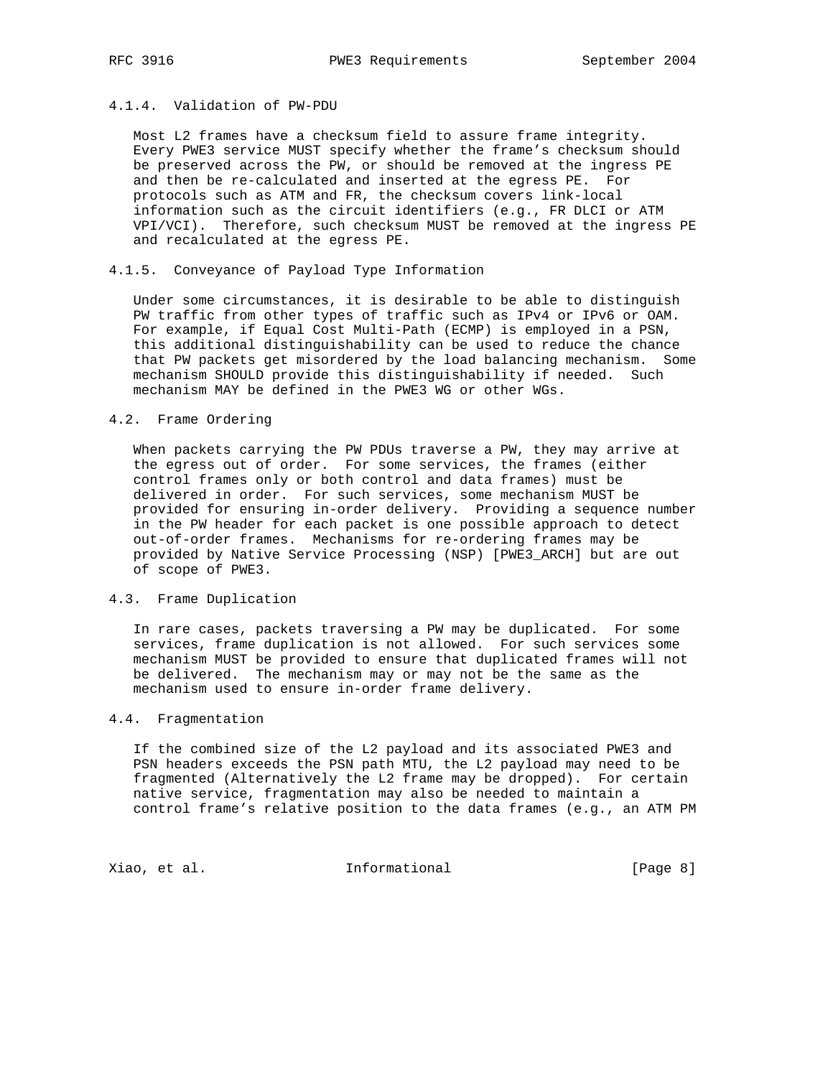# 4.1.4. Validation of PW-PDU

 Most L2 frames have a checksum field to assure frame integrity. Every PWE3 service MUST specify whether the frame's checksum should be preserved across the PW, or should be removed at the ingress PE and then be re-calculated and inserted at the egress PE. For protocols such as ATM and FR, the checksum covers link-local information such as the circuit identifiers (e.g., FR DLCI or ATM VPI/VCI). Therefore, such checksum MUST be removed at the ingress PE and recalculated at the egress PE.

## 4.1.5. Conveyance of Payload Type Information

 Under some circumstances, it is desirable to be able to distinguish PW traffic from other types of traffic such as IPv4 or IPv6 or OAM. For example, if Equal Cost Multi-Path (ECMP) is employed in a PSN, this additional distinguishability can be used to reduce the chance that PW packets get misordered by the load balancing mechanism. Some mechanism SHOULD provide this distinguishability if needed. Such mechanism MAY be defined in the PWE3 WG or other WGs.

## 4.2. Frame Ordering

 When packets carrying the PW PDUs traverse a PW, they may arrive at the egress out of order. For some services, the frames (either control frames only or both control and data frames) must be delivered in order. For such services, some mechanism MUST be provided for ensuring in-order delivery. Providing a sequence number in the PW header for each packet is one possible approach to detect out-of-order frames. Mechanisms for re-ordering frames may be provided by Native Service Processing (NSP) [PWE3\_ARCH] but are out of scope of PWE3.

## 4.3. Frame Duplication

 In rare cases, packets traversing a PW may be duplicated. For some services, frame duplication is not allowed. For such services some mechanism MUST be provided to ensure that duplicated frames will not be delivered. The mechanism may or may not be the same as the mechanism used to ensure in-order frame delivery.

# 4.4. Fragmentation

 If the combined size of the L2 payload and its associated PWE3 and PSN headers exceeds the PSN path MTU, the L2 payload may need to be fragmented (Alternatively the L2 frame may be dropped). For certain native service, fragmentation may also be needed to maintain a control frame's relative position to the data frames (e.g., an ATM PM

Xiao, et al. 10 mm informational 1999 [Page 8]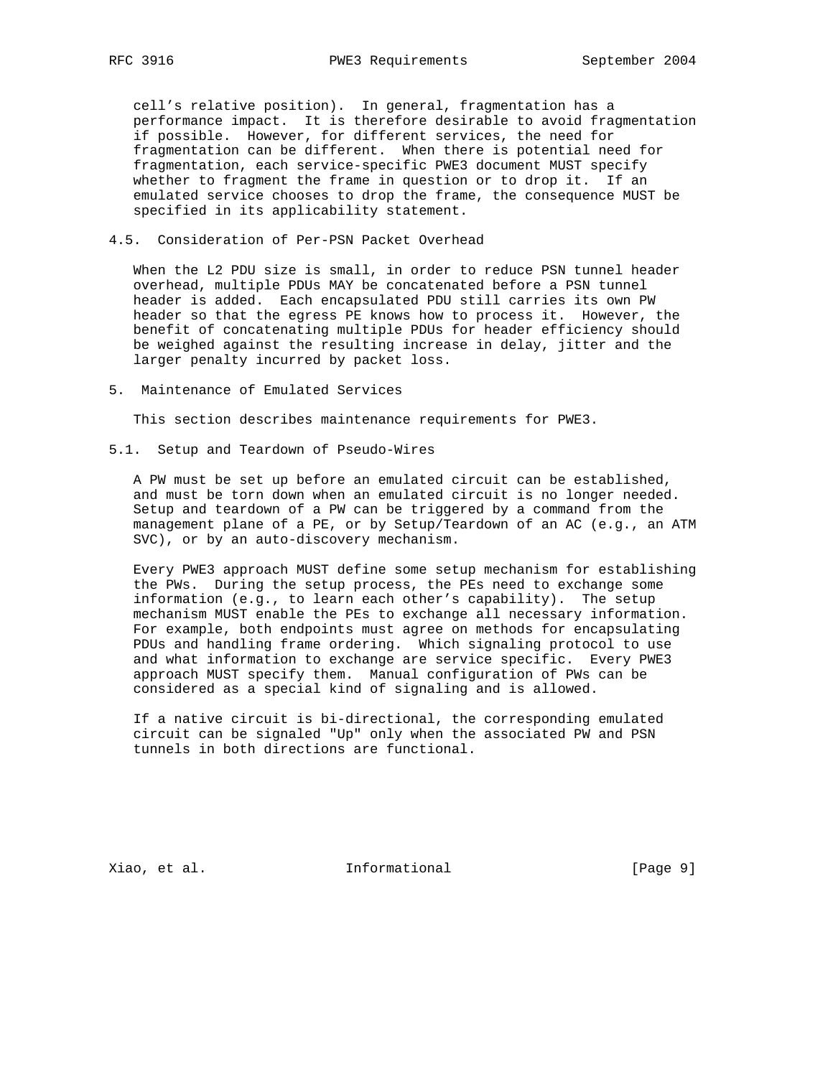cell's relative position). In general, fragmentation has a performance impact. It is therefore desirable to avoid fragmentation if possible. However, for different services, the need for fragmentation can be different. When there is potential need for fragmentation, each service-specific PWE3 document MUST specify whether to fragment the frame in question or to drop it. If an emulated service chooses to drop the frame, the consequence MUST be specified in its applicability statement.

## 4.5. Consideration of Per-PSN Packet Overhead

 When the L2 PDU size is small, in order to reduce PSN tunnel header overhead, multiple PDUs MAY be concatenated before a PSN tunnel header is added. Each encapsulated PDU still carries its own PW header so that the egress PE knows how to process it. However, the benefit of concatenating multiple PDUs for header efficiency should be weighed against the resulting increase in delay, jitter and the larger penalty incurred by packet loss.

5. Maintenance of Emulated Services

This section describes maintenance requirements for PWE3.

5.1. Setup and Teardown of Pseudo-Wires

 A PW must be set up before an emulated circuit can be established, and must be torn down when an emulated circuit is no longer needed. Setup and teardown of a PW can be triggered by a command from the management plane of a PE, or by Setup/Teardown of an AC (e.g., an ATM SVC), or by an auto-discovery mechanism.

 Every PWE3 approach MUST define some setup mechanism for establishing the PWs. During the setup process, the PEs need to exchange some information (e.g., to learn each other's capability). The setup mechanism MUST enable the PEs to exchange all necessary information. For example, both endpoints must agree on methods for encapsulating PDUs and handling frame ordering. Which signaling protocol to use and what information to exchange are service specific. Every PWE3 approach MUST specify them. Manual configuration of PWs can be considered as a special kind of signaling and is allowed.

 If a native circuit is bi-directional, the corresponding emulated circuit can be signaled "Up" only when the associated PW and PSN tunnels in both directions are functional.

Xiao, et al. 10 mm = Informational 1 mm = [Page 9]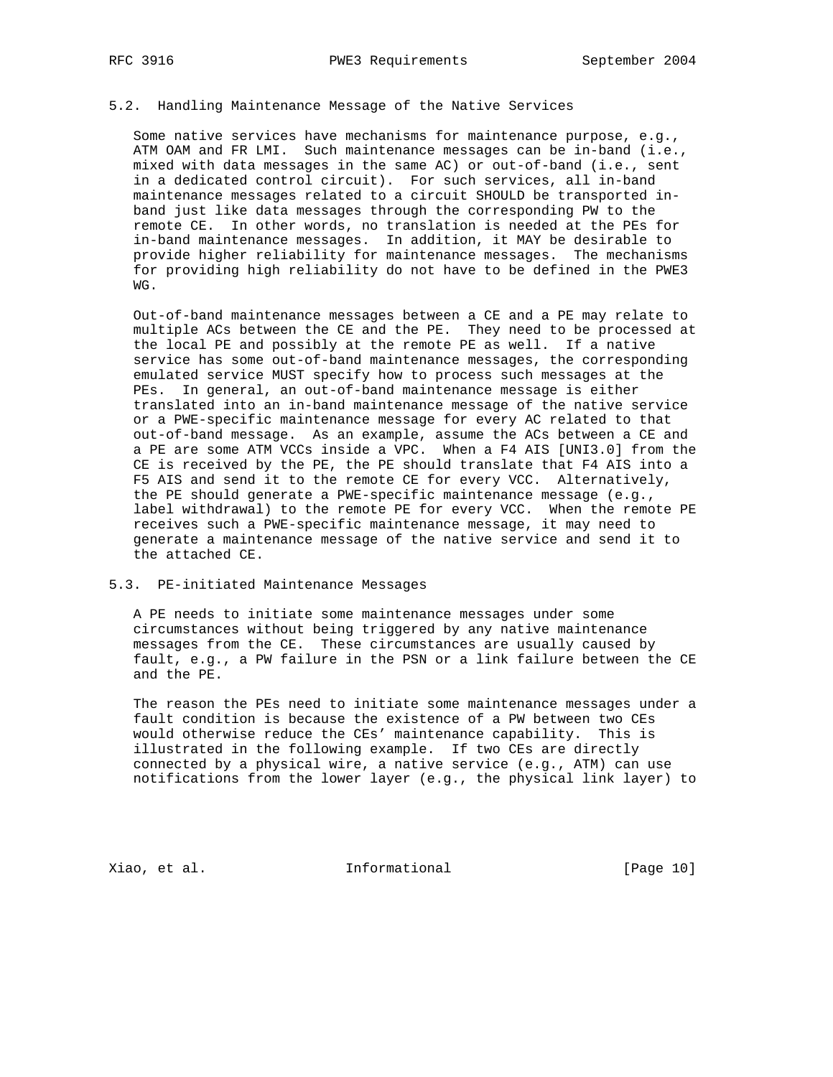## 5.2. Handling Maintenance Message of the Native Services

 Some native services have mechanisms for maintenance purpose, e.g., ATM OAM and FR LMI. Such maintenance messages can be in-band (i.e., mixed with data messages in the same AC) or out-of-band (i.e., sent in a dedicated control circuit). For such services, all in-band maintenance messages related to a circuit SHOULD be transported in band just like data messages through the corresponding PW to the remote CE. In other words, no translation is needed at the PEs for in-band maintenance messages. In addition, it MAY be desirable to provide higher reliability for maintenance messages. The mechanisms for providing high reliability do not have to be defined in the PWE3 WG.

 Out-of-band maintenance messages between a CE and a PE may relate to multiple ACs between the CE and the PE. They need to be processed at the local PE and possibly at the remote PE as well. If a native service has some out-of-band maintenance messages, the corresponding emulated service MUST specify how to process such messages at the PEs. In general, an out-of-band maintenance message is either translated into an in-band maintenance message of the native service or a PWE-specific maintenance message for every AC related to that out-of-band message. As an example, assume the ACs between a CE and a PE are some ATM VCCs inside a VPC. When a F4 AIS [UNI3.0] from the CE is received by the PE, the PE should translate that F4 AIS into a F5 AIS and send it to the remote CE for every VCC. Alternatively, the PE should generate a PWE-specific maintenance message (e.g., label withdrawal) to the remote PE for every VCC. When the remote PE receives such a PWE-specific maintenance message, it may need to generate a maintenance message of the native service and send it to the attached CE.

#### 5.3. PE-initiated Maintenance Messages

 A PE needs to initiate some maintenance messages under some circumstances without being triggered by any native maintenance messages from the CE. These circumstances are usually caused by fault, e.g., a PW failure in the PSN or a link failure between the CE and the PE.

 The reason the PEs need to initiate some maintenance messages under a fault condition is because the existence of a PW between two CEs would otherwise reduce the CEs' maintenance capability. This is illustrated in the following example. If two CEs are directly connected by a physical wire, a native service (e.g., ATM) can use notifications from the lower layer (e.g., the physical link layer) to

Xiao, et al. 10 mm informational [Page 10]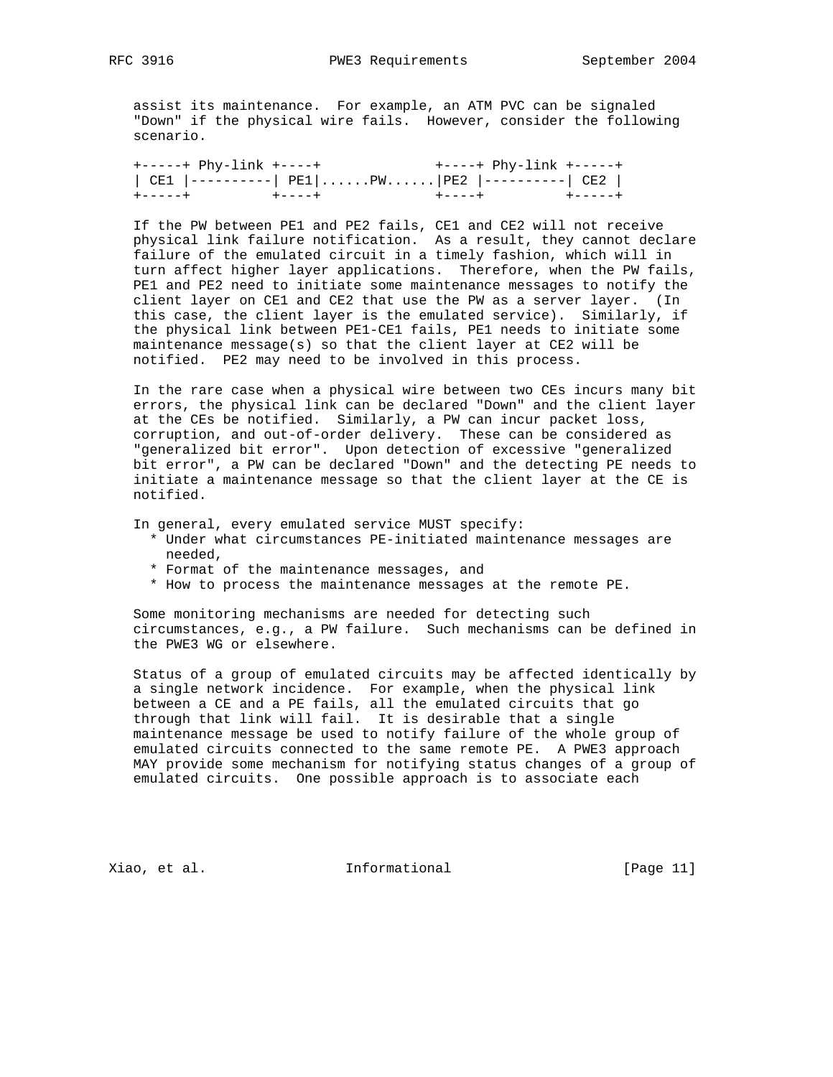assist its maintenance. For example, an ATM PVC can be signaled "Down" if the physical wire fails. However, consider the following scenario.

 +-----+ Phy-link +----+ +----+ Phy-link +-----+ | CE1 |----------| PE1|......PW......|PE2 |----------| CE2 | +-----+ +----+ +----+ +-----+

 If the PW between PE1 and PE2 fails, CE1 and CE2 will not receive physical link failure notification. As a result, they cannot declare failure of the emulated circuit in a timely fashion, which will in turn affect higher layer applications. Therefore, when the PW fails, PE1 and PE2 need to initiate some maintenance messages to notify the client layer on CE1 and CE2 that use the PW as a server layer. (In this case, the client layer is the emulated service). Similarly, if the physical link between PE1-CE1 fails, PE1 needs to initiate some maintenance message(s) so that the client layer at CE2 will be notified. PE2 may need to be involved in this process.

 In the rare case when a physical wire between two CEs incurs many bit errors, the physical link can be declared "Down" and the client layer at the CEs be notified. Similarly, a PW can incur packet loss, corruption, and out-of-order delivery. These can be considered as "generalized bit error". Upon detection of excessive "generalized bit error", a PW can be declared "Down" and the detecting PE needs to initiate a maintenance message so that the client layer at the CE is notified.

In general, every emulated service MUST specify:

- \* Under what circumstances PE-initiated maintenance messages are needed,
- \* Format of the maintenance messages, and
- \* How to process the maintenance messages at the remote PE.

 Some monitoring mechanisms are needed for detecting such circumstances, e.g., a PW failure. Such mechanisms can be defined in the PWE3 WG or elsewhere.

 Status of a group of emulated circuits may be affected identically by a single network incidence. For example, when the physical link between a CE and a PE fails, all the emulated circuits that go through that link will fail. It is desirable that a single maintenance message be used to notify failure of the whole group of emulated circuits connected to the same remote PE. A PWE3 approach MAY provide some mechanism for notifying status changes of a group of emulated circuits. One possible approach is to associate each

Xiao, et al. 10 mm informational 1999 [Page 11]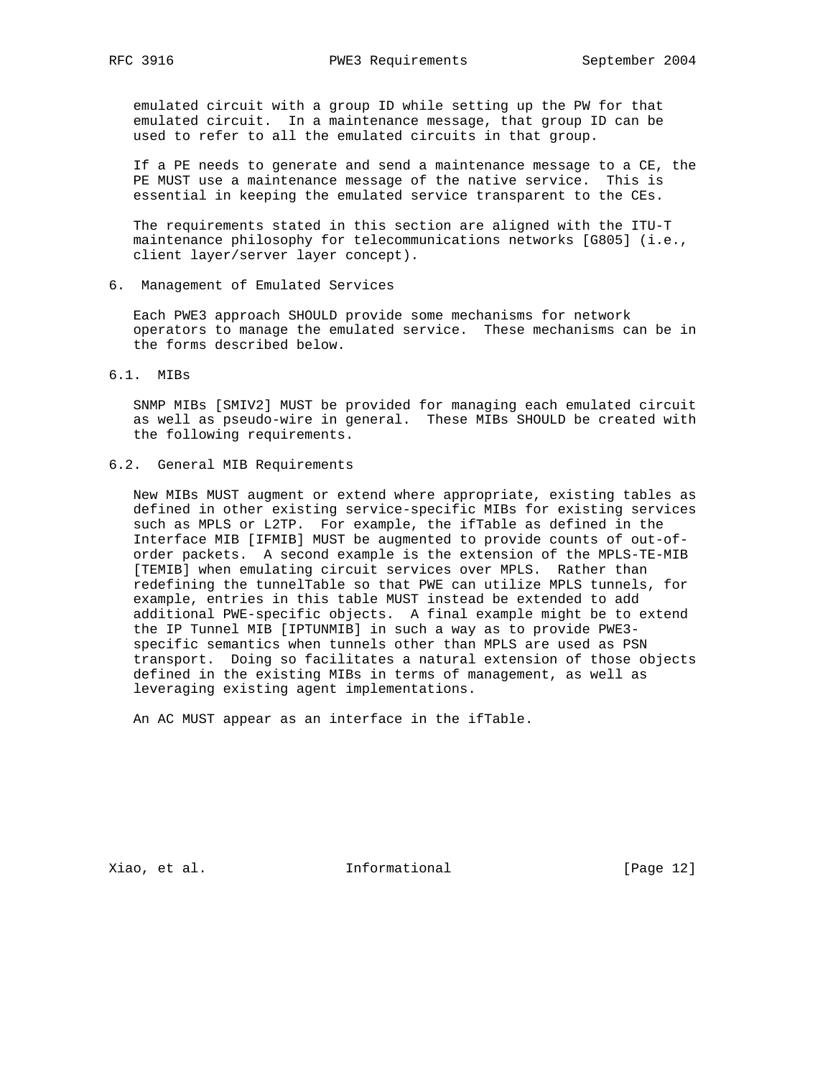emulated circuit with a group ID while setting up the PW for that emulated circuit. In a maintenance message, that group ID can be used to refer to all the emulated circuits in that group.

 If a PE needs to generate and send a maintenance message to a CE, the PE MUST use a maintenance message of the native service. This is essential in keeping the emulated service transparent to the CEs.

 The requirements stated in this section are aligned with the ITU-T maintenance philosophy for telecommunications networks [G805] (i.e., client layer/server layer concept).

6. Management of Emulated Services

 Each PWE3 approach SHOULD provide some mechanisms for network operators to manage the emulated service. These mechanisms can be in the forms described below.

6.1. MIBs

 SNMP MIBs [SMIV2] MUST be provided for managing each emulated circuit as well as pseudo-wire in general. These MIBs SHOULD be created with the following requirements.

6.2. General MIB Requirements

 New MIBs MUST augment or extend where appropriate, existing tables as defined in other existing service-specific MIBs for existing services such as MPLS or L2TP. For example, the ifTable as defined in the Interface MIB [IFMIB] MUST be augmented to provide counts of out-of order packets. A second example is the extension of the MPLS-TE-MIB [TEMIB] when emulating circuit services over MPLS. Rather than redefining the tunnelTable so that PWE can utilize MPLS tunnels, for example, entries in this table MUST instead be extended to add additional PWE-specific objects. A final example might be to extend the IP Tunnel MIB [IPTUNMIB] in such a way as to provide PWE3 specific semantics when tunnels other than MPLS are used as PSN transport. Doing so facilitates a natural extension of those objects defined in the existing MIBs in terms of management, as well as leveraging existing agent implementations.

An AC MUST appear as an interface in the ifTable.

Xiao, et al. 10 mm informational [Page 12]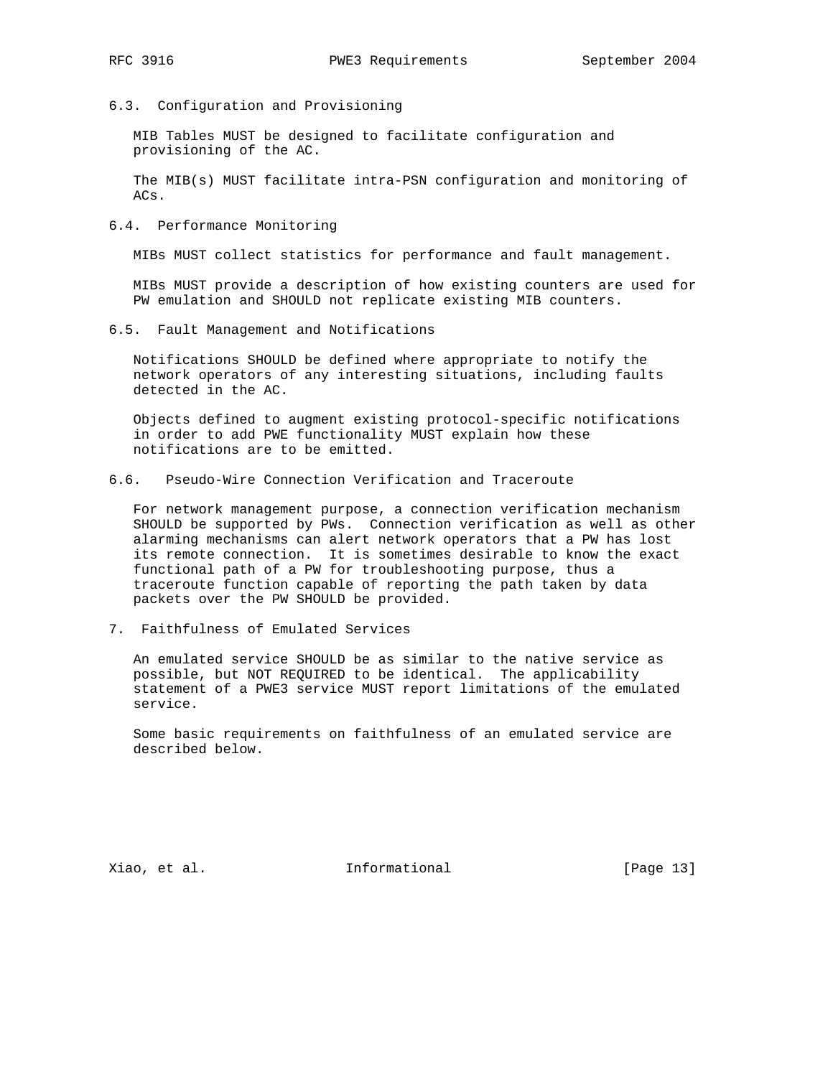6.3. Configuration and Provisioning

 MIB Tables MUST be designed to facilitate configuration and provisioning of the AC.

 The MIB(s) MUST facilitate intra-PSN configuration and monitoring of ACs.

6.4. Performance Monitoring

MIBs MUST collect statistics for performance and fault management.

 MIBs MUST provide a description of how existing counters are used for PW emulation and SHOULD not replicate existing MIB counters.

6.5. Fault Management and Notifications

 Notifications SHOULD be defined where appropriate to notify the network operators of any interesting situations, including faults detected in the AC.

 Objects defined to augment existing protocol-specific notifications in order to add PWE functionality MUST explain how these notifications are to be emitted.

6.6. Pseudo-Wire Connection Verification and Traceroute

 For network management purpose, a connection verification mechanism SHOULD be supported by PWs. Connection verification as well as other alarming mechanisms can alert network operators that a PW has lost its remote connection. It is sometimes desirable to know the exact functional path of a PW for troubleshooting purpose, thus a traceroute function capable of reporting the path taken by data packets over the PW SHOULD be provided.

7. Faithfulness of Emulated Services

 An emulated service SHOULD be as similar to the native service as possible, but NOT REQUIRED to be identical. The applicability statement of a PWE3 service MUST report limitations of the emulated service.

 Some basic requirements on faithfulness of an emulated service are described below.

Xiao, et al. 10 mm informational 1999 [Page 13]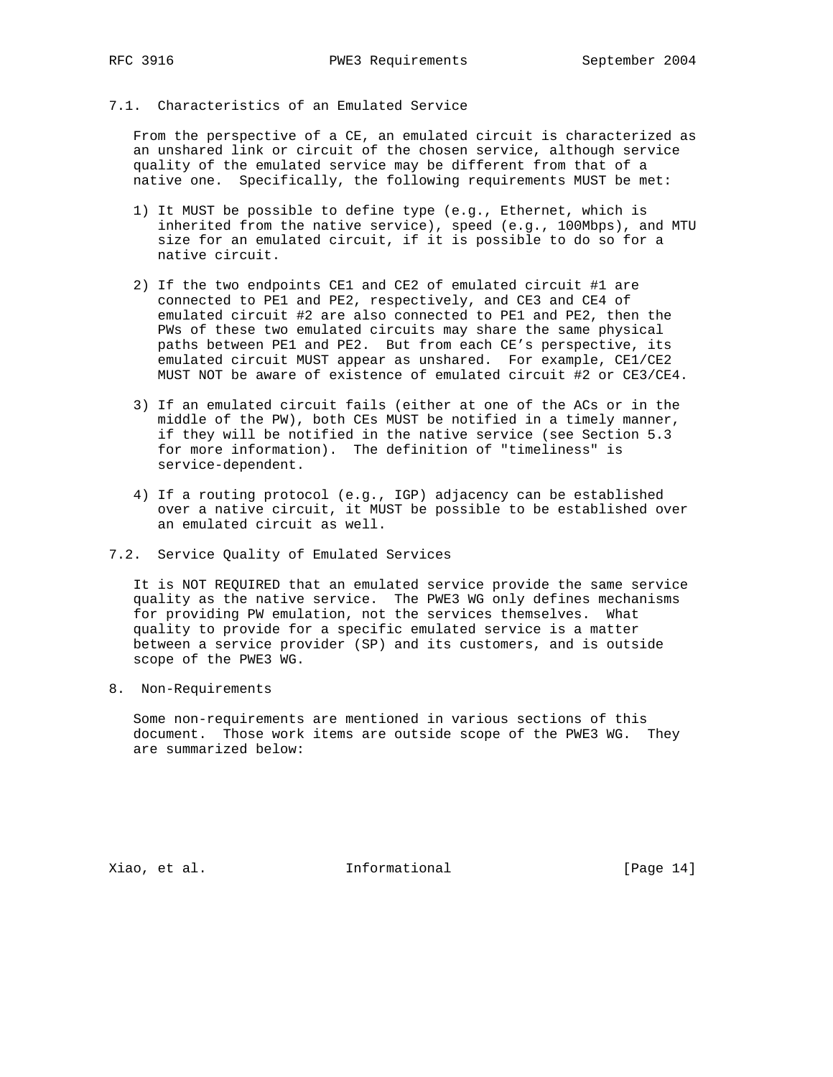# 7.1. Characteristics of an Emulated Service

 From the perspective of a CE, an emulated circuit is characterized as an unshared link or circuit of the chosen service, although service quality of the emulated service may be different from that of a native one. Specifically, the following requirements MUST be met:

- 1) It MUST be possible to define type (e.g., Ethernet, which is inherited from the native service), speed (e.g., 100Mbps), and MTU size for an emulated circuit, if it is possible to do so for a native circuit.
- 2) If the two endpoints CE1 and CE2 of emulated circuit #1 are connected to PE1 and PE2, respectively, and CE3 and CE4 of emulated circuit #2 are also connected to PE1 and PE2, then the PWs of these two emulated circuits may share the same physical paths between PE1 and PE2. But from each CE's perspective, its emulated circuit MUST appear as unshared. For example, CE1/CE2 MUST NOT be aware of existence of emulated circuit #2 or CE3/CE4.
- 3) If an emulated circuit fails (either at one of the ACs or in the middle of the PW), both CEs MUST be notified in a timely manner, if they will be notified in the native service (see Section 5.3 for more information). The definition of "timeliness" is service-dependent.
- 4) If a routing protocol (e.g., IGP) adjacency can be established over a native circuit, it MUST be possible to be established over an emulated circuit as well.
- 7.2. Service Quality of Emulated Services

 It is NOT REQUIRED that an emulated service provide the same service quality as the native service. The PWE3 WG only defines mechanisms for providing PW emulation, not the services themselves. What quality to provide for a specific emulated service is a matter between a service provider (SP) and its customers, and is outside scope of the PWE3 WG.

8. Non-Requirements

 Some non-requirements are mentioned in various sections of this document. Those work items are outside scope of the PWE3 WG. They are summarized below:

Xiao, et al. 10 mm informational 1999 [Page 14]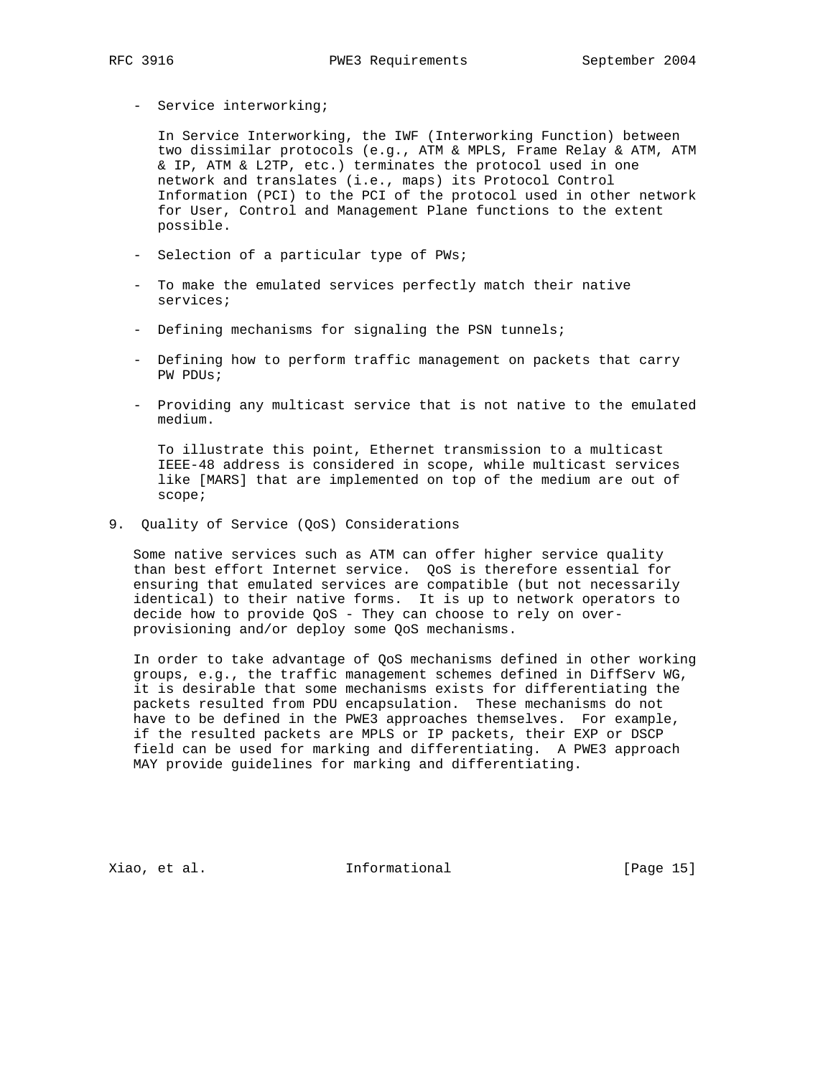- Service interworking;

 In Service Interworking, the IWF (Interworking Function) between two dissimilar protocols (e.g., ATM & MPLS, Frame Relay & ATM, ATM & IP, ATM & L2TP, etc.) terminates the protocol used in one network and translates (i.e., maps) its Protocol Control Information (PCI) to the PCI of the protocol used in other network for User, Control and Management Plane functions to the extent possible.

- Selection of a particular type of PWs;
- To make the emulated services perfectly match their native services;
- Defining mechanisms for signaling the PSN tunnels;
- Defining how to perform traffic management on packets that carry PW PDUs;
- Providing any multicast service that is not native to the emulated medium.

 To illustrate this point, Ethernet transmission to a multicast IEEE-48 address is considered in scope, while multicast services like [MARS] that are implemented on top of the medium are out of scope;

9. Quality of Service (QoS) Considerations

 Some native services such as ATM can offer higher service quality than best effort Internet service. QoS is therefore essential for ensuring that emulated services are compatible (but not necessarily identical) to their native forms. It is up to network operators to decide how to provide QoS - They can choose to rely on over provisioning and/or deploy some QoS mechanisms.

 In order to take advantage of QoS mechanisms defined in other working groups, e.g., the traffic management schemes defined in DiffServ WG, it is desirable that some mechanisms exists for differentiating the packets resulted from PDU encapsulation. These mechanisms do not have to be defined in the PWE3 approaches themselves. For example, if the resulted packets are MPLS or IP packets, their EXP or DSCP field can be used for marking and differentiating. A PWE3 approach MAY provide guidelines for marking and differentiating.

Xiao, et al. 10 mm informational 1999 [Page 15]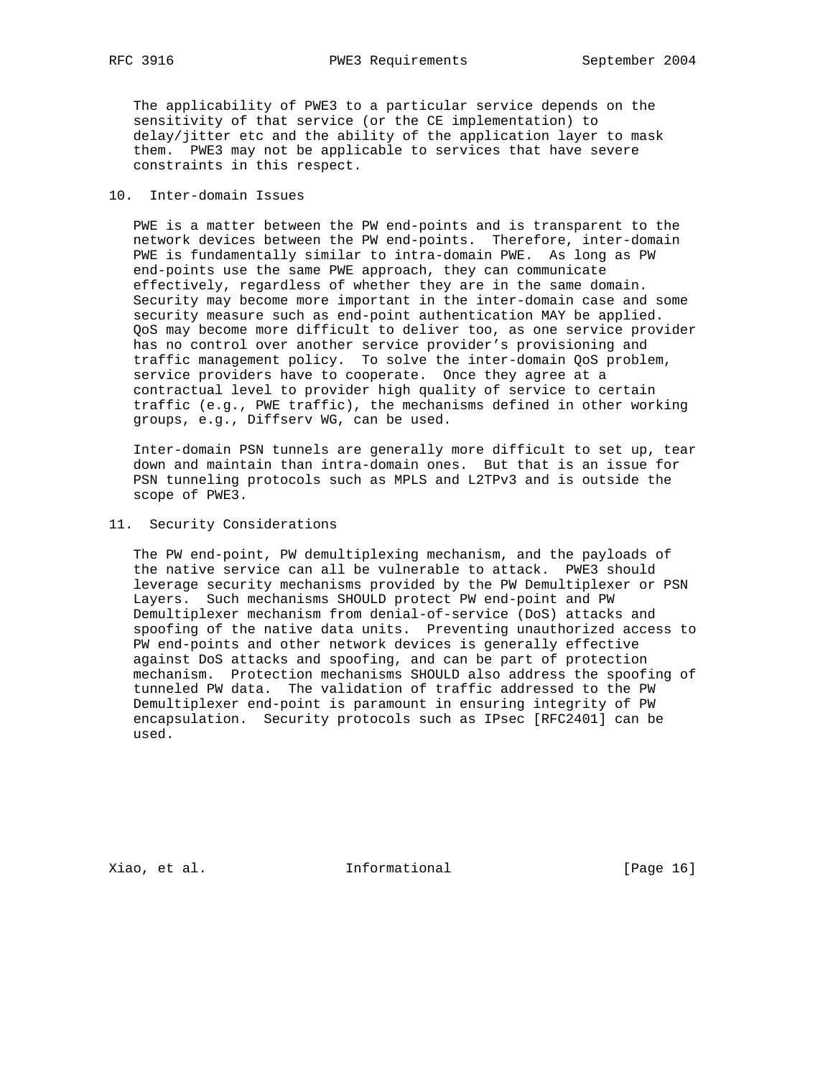The applicability of PWE3 to a particular service depends on the sensitivity of that service (or the CE implementation) to delay/jitter etc and the ability of the application layer to mask them. PWE3 may not be applicable to services that have severe constraints in this respect.

## 10. Inter-domain Issues

 PWE is a matter between the PW end-points and is transparent to the network devices between the PW end-points. Therefore, inter-domain PWE is fundamentally similar to intra-domain PWE. As long as PW end-points use the same PWE approach, they can communicate effectively, regardless of whether they are in the same domain. Security may become more important in the inter-domain case and some security measure such as end-point authentication MAY be applied. QoS may become more difficult to deliver too, as one service provider has no control over another service provider's provisioning and traffic management policy. To solve the inter-domain QoS problem, service providers have to cooperate. Once they agree at a contractual level to provider high quality of service to certain traffic (e.g., PWE traffic), the mechanisms defined in other working groups, e.g., Diffserv WG, can be used.

 Inter-domain PSN tunnels are generally more difficult to set up, tear down and maintain than intra-domain ones. But that is an issue for PSN tunneling protocols such as MPLS and L2TPv3 and is outside the scope of PWE3.

## 11. Security Considerations

 The PW end-point, PW demultiplexing mechanism, and the payloads of the native service can all be vulnerable to attack. PWE3 should leverage security mechanisms provided by the PW Demultiplexer or PSN Layers. Such mechanisms SHOULD protect PW end-point and PW Demultiplexer mechanism from denial-of-service (DoS) attacks and spoofing of the native data units. Preventing unauthorized access to PW end-points and other network devices is generally effective against DoS attacks and spoofing, and can be part of protection mechanism. Protection mechanisms SHOULD also address the spoofing of tunneled PW data. The validation of traffic addressed to the PW Demultiplexer end-point is paramount in ensuring integrity of PW encapsulation. Security protocols such as IPsec [RFC2401] can be used.

Xiao, et al. 100 mm informational 100 mm informational [Page 16]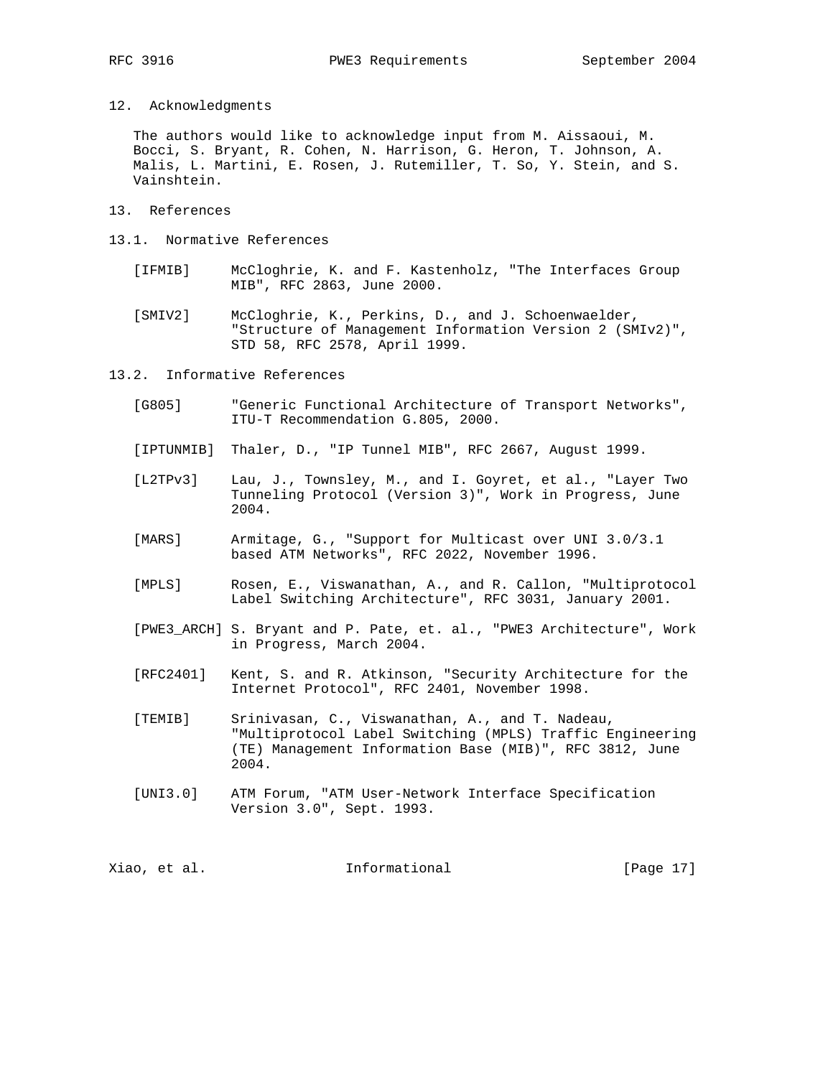12. Acknowledgments

 The authors would like to acknowledge input from M. Aissaoui, M. Bocci, S. Bryant, R. Cohen, N. Harrison, G. Heron, T. Johnson, A. Malis, L. Martini, E. Rosen, J. Rutemiller, T. So, Y. Stein, and S. Vainshtein.

- 13. References
- 13.1. Normative References
	- [IFMIB] McCloghrie, K. and F. Kastenholz, "The Interfaces Group MIB", RFC 2863, June 2000.
	- [SMIV2] McCloghrie, K., Perkins, D., and J. Schoenwaelder, "Structure of Management Information Version 2 (SMIv2)", STD 58, RFC 2578, April 1999.

13.2. Informative References

- [G805] "Generic Functional Architecture of Transport Networks", ITU-T Recommendation G.805, 2000.
- [IPTUNMIB] Thaler, D., "IP Tunnel MIB", RFC 2667, August 1999.
- [L2TPv3] Lau, J., Townsley, M., and I. Goyret, et al., "Layer Two Tunneling Protocol (Version 3)", Work in Progress, June 2004.
- [MARS] Armitage, G., "Support for Multicast over UNI 3.0/3.1 based ATM Networks", RFC 2022, November 1996.
- [MPLS] Rosen, E., Viswanathan, A., and R. Callon, "Multiprotocol Label Switching Architecture", RFC 3031, January 2001.
- [PWE3\_ARCH] S. Bryant and P. Pate, et. al., "PWE3 Architecture", Work in Progress, March 2004.
- [RFC2401] Kent, S. and R. Atkinson, "Security Architecture for the Internet Protocol", RFC 2401, November 1998.
- [TEMIB] Srinivasan, C., Viswanathan, A., and T. Nadeau, "Multiprotocol Label Switching (MPLS) Traffic Engineering (TE) Management Information Base (MIB)", RFC 3812, June 2004.
- [UNI3.0] ATM Forum, "ATM User-Network Interface Specification Version 3.0", Sept. 1993.

Xiao, et al. Informational [Page 17]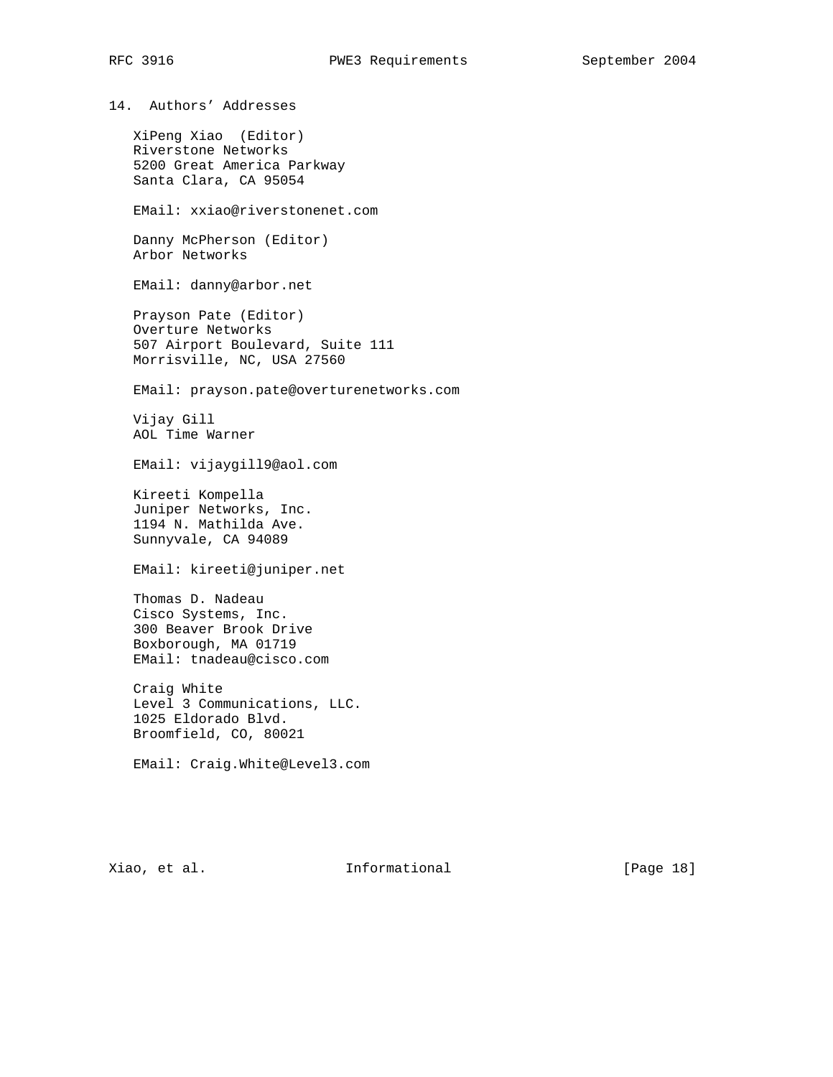14. Authors' Addresses

 XiPeng Xiao (Editor) Riverstone Networks 5200 Great America Parkway Santa Clara, CA 95054

EMail: xxiao@riverstonenet.com

 Danny McPherson (Editor) Arbor Networks

EMail: danny@arbor.net

 Prayson Pate (Editor) Overture Networks 507 Airport Boulevard, Suite 111 Morrisville, NC, USA 27560

EMail: prayson.pate@overturenetworks.com

 Vijay Gill AOL Time Warner

EMail: vijaygill9@aol.com

 Kireeti Kompella Juniper Networks, Inc. 1194 N. Mathilda Ave. Sunnyvale, CA 94089

EMail: kireeti@juniper.net

 Thomas D. Nadeau Cisco Systems, Inc. 300 Beaver Brook Drive Boxborough, MA 01719 EMail: tnadeau@cisco.com

 Craig White Level 3 Communications, LLC. 1025 Eldorado Blvd. Broomfield, CO, 80021

EMail: Craig.White@Level3.com

Xiao, et al. 10 mm informational 1999 [Page 18]